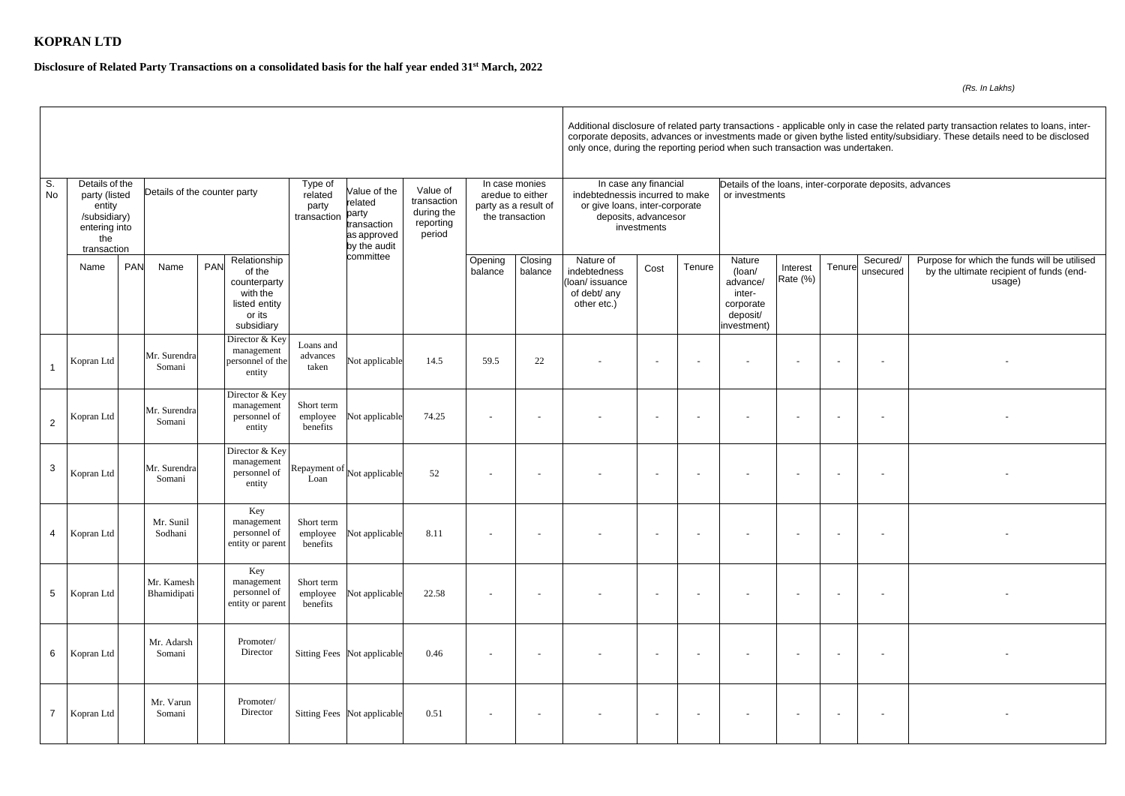## **KOPRAN LTD**

## **Disclosure of Related Party Transactions on a consolidated basis for the half year ended 31st March, 2022**

Additional disclosure of related party transactions - applicable only in case the related party transaction relates to loans, intercorporate deposits, advances or investments made or given bythe listed entity/subsidiary. These details need to be disclosed only once, during the reporting period when such transaction was undertaken.

| Tenure | Secured/<br>unsecured | Purpose for which the funds will be utilised<br>by the ultimate recipient of funds (end-<br>usage) |
|--------|-----------------------|----------------------------------------------------------------------------------------------------|
|        |                       |                                                                                                    |
|        |                       |                                                                                                    |
|        |                       |                                                                                                    |
|        |                       |                                                                                                    |
|        |                       |                                                                                                    |
|        |                       |                                                                                                    |
|        |                       |                                                                                                    |
|        |                       |                                                                                                    |
|        |                       |                                                                                                    |
|        |                       |                                                                                                    |
|        |                       |                                                                                                    |
|        |                       |                                                                                                    |
|        |                       |                                                                                                    |
|        |                       |                                                                                                    |
|        |                       |                                                                                                    |
|        |                       |                                                                                                    |
|        |                       |                                                                                                    |

| S.<br>No       | Details of the<br>party (listed<br>entity<br>/subsidiary)<br>entering into<br>the |                           | Details of the counter party                                                                              | Type of<br>related<br>party<br>transaction | Value of the<br>related<br>party<br>transaction<br>as approved<br>by the audit<br>committee | Value of<br>transaction<br>during the<br>reporting<br>period | In case monies<br>aredue to either<br>party as a result of<br>the transaction |                    | In case any financial<br>indebtednessis incurred to make<br>or give loans, inter-corporate<br>deposits, advancesor<br>investments |                          |        | Details of the loans, inter-corporate deposits, advances<br>or investments     |                      |        |                          |                                                       |  |  |
|----------------|-----------------------------------------------------------------------------------|---------------------------|-----------------------------------------------------------------------------------------------------------|--------------------------------------------|---------------------------------------------------------------------------------------------|--------------------------------------------------------------|-------------------------------------------------------------------------------|--------------------|-----------------------------------------------------------------------------------------------------------------------------------|--------------------------|--------|--------------------------------------------------------------------------------|----------------------|--------|--------------------------|-------------------------------------------------------|--|--|
|                | transaction<br>Name                                                               | <b>PAN</b><br>Name        | Relationship<br><b>PAN</b><br>of the<br>counterparty<br>with the<br>listed entity<br>or its<br>subsidiary |                                            |                                                                                             |                                                              | Opening<br>balance                                                            | Closing<br>balance | Nature of<br>indebtedness<br>(loan/issuance<br>of debt/ any<br>other etc.)                                                        | Cost                     | Tenure | Nature<br>(loan/<br>advance/<br>inter-<br>corporate<br>deposit/<br>investment) | Interest<br>Rate (%) | Tenure | Secured/<br>unsecured    | Purpose for which the<br>by the ultimate recip<br>usa |  |  |
|                | Kopran Ltd                                                                        | Mr. Surendra<br>Somani    | Director & Key<br>management<br>personnel of the<br>entity                                                | Loans and<br>advances<br>taken             | Not applicable                                                                              | 14.5                                                         | 59.5                                                                          | 22                 |                                                                                                                                   | $\overline{\phantom{a}}$ |        |                                                                                | $\overline{a}$       |        | $\overline{\phantom{a}}$ |                                                       |  |  |
| $\overline{2}$ | Kopran Ltd                                                                        | Mr. Surendra<br>Somani    | Director & Key<br>management<br>personnel of<br>entity                                                    | Short term<br>employee<br>benefits         | Not applicable                                                                              | 74.25                                                        |                                                                               |                    |                                                                                                                                   | $\overline{\phantom{a}}$ |        |                                                                                | $\sim$               |        | $\sim$                   |                                                       |  |  |
| 3              | Kopran Ltd                                                                        | Mr. Surendra<br>Somani    | Director & Key<br>management<br>personnel of<br>entity                                                    | Loan                                       | Repayment of $\vert$ Not applicable                                                         | 52                                                           |                                                                               |                    |                                                                                                                                   | $\sim$                   |        |                                                                                |                      |        | $\sim$                   |                                                       |  |  |
| 4              | Kopran Ltd                                                                        | Mr. Sunil<br>Sodhani      | Key<br>management<br>personnel of<br>entity or parent                                                     | Short term<br>employee<br>benefits         | Not applicable                                                                              | 8.11                                                         |                                                                               |                    |                                                                                                                                   |                          |        |                                                                                |                      |        |                          |                                                       |  |  |
| 5              | Kopran Ltd                                                                        | Mr. Kamesh<br>Bhamidipati | Key<br>management<br>personnel of<br>entity or parent                                                     | Short term<br>employee<br>benefits         | Not applicable                                                                              | 22.58                                                        |                                                                               |                    |                                                                                                                                   |                          |        |                                                                                |                      |        |                          |                                                       |  |  |
| 6              | Kopran Ltd                                                                        | Mr. Adarsh<br>Somani      | Promoter/<br>Director                                                                                     |                                            | Sitting Fees Not applicable                                                                 | 0.46                                                         |                                                                               |                    |                                                                                                                                   | $\sim$                   |        |                                                                                | $\sim$               | $\sim$ | $\sim$                   |                                                       |  |  |
| $\overline{7}$ | Kopran Ltd                                                                        | Mr. Varun<br>Somani       | Promoter/<br>Director                                                                                     |                                            | Sitting Fees Not applicable                                                                 | 0.51                                                         |                                                                               |                    |                                                                                                                                   | $\sim$                   |        | $\overline{\phantom{a}}$                                                       | $\sim$               | $\sim$ | $\sim$                   |                                                       |  |  |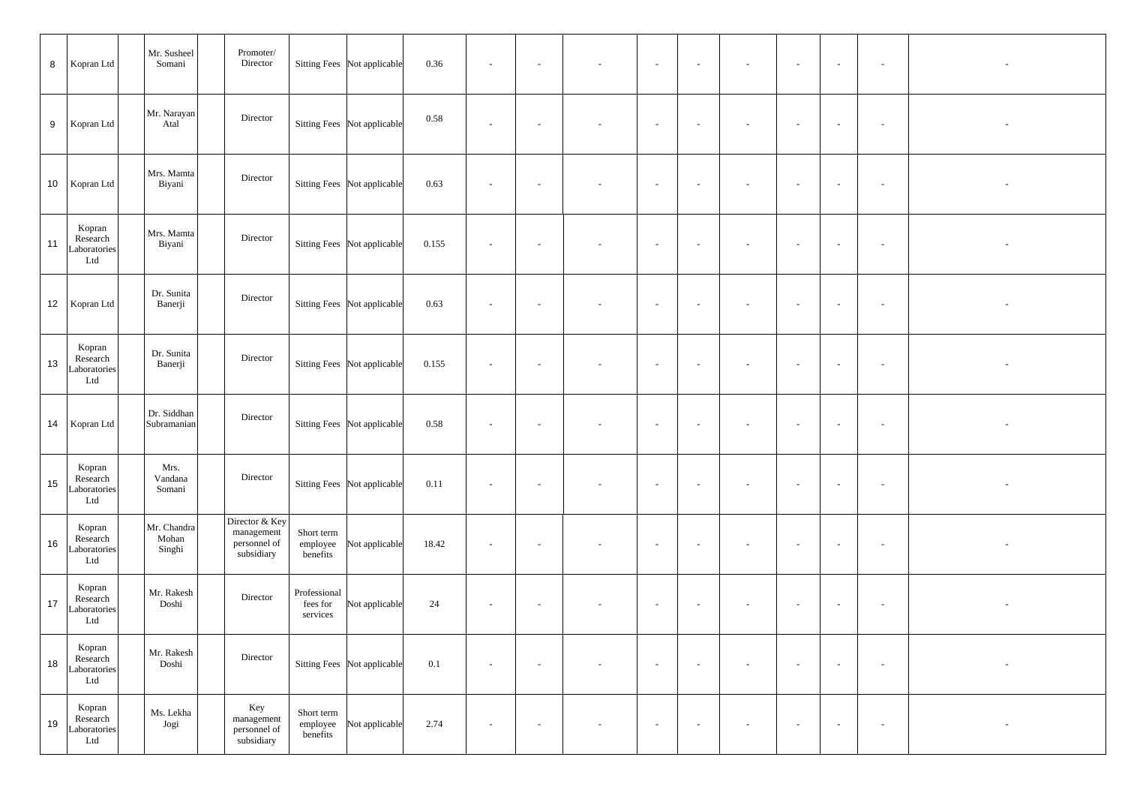| 8 Kopran Ltd    |                                           | Mr. Susheel<br>Somani          | Promoter/<br>Director                                      |                                      | Sitting Fees Not applicable | 0.36  | $\sim$ |            |                          | $\sim$ | $\sim$     | $\sim$ | $\sim$     | $\sim$         | $\sim$ |  |
|-----------------|-------------------------------------------|--------------------------------|------------------------------------------------------------|--------------------------------------|-----------------------------|-------|--------|------------|--------------------------|--------|------------|--------|------------|----------------|--------|--|
| 9               | Kopran Ltd                                | Mr. Narayan<br>Atal            | Director                                                   |                                      | Sitting Fees Not applicable | 0.58  | $\sim$ | $\sim$     | $\sim$                   | $\sim$ | $\sim$     | $\sim$ | $\sim$     | $\sim$         | $\sim$ |  |
| 10   Kopran Ltd |                                           | Mrs. Mamta<br>Biyani           | Director                                                   |                                      | Sitting Fees Not applicable | 0.63  | $\sim$ | $\sim$     | $\overline{\phantom{a}}$ | $\sim$ | $\sim$     | $\sim$ | $\sim$     | $\sim$         | $\sim$ |  |
| 11              | Kopran<br>Research<br>Laboratories<br>Ltd | Mrs. Mamta<br>Biyani           | Director                                                   |                                      | Sitting Fees Not applicable | 0.155 | $\sim$ | $\sim$     | $\overline{\phantom{a}}$ | $\sim$ | $\sim$     | $\sim$ | $\sim$     | $\sim$         | $\sim$ |  |
| 12   Kopran Ltd |                                           | Dr. Sunita<br>Banerji          | Director                                                   |                                      | Sitting Fees Not applicable | 0.63  | $\sim$ | $\sim$     | $\sim$                   | $\sim$ | $\sim$ $-$ | $\sim$ | $\sim$ $-$ | $\sim$         | $\sim$ |  |
| 13              | Kopran<br>Research<br>Laboratories<br>Ltd | Dr. Sunita<br>Banerji          | Director                                                   |                                      | Sitting Fees Not applicable | 0.155 | $\sim$ | $\sim$     | $\sim$                   | $\sim$ | $\sim$     | $\sim$ | $\sim$     | $\sim$         | $\sim$ |  |
| 14   Kopran Ltd |                                           | Dr. Siddhan<br>Subramanian     | Director                                                   |                                      | Sitting Fees Not applicable | 0.58  | $\sim$ | $\sim$ $-$ | $\sim$                   | $\sim$ | $\sim$ $-$ | $\sim$ | $\sim$ $-$ | $\sim$ $ \sim$ | $\sim$ |  |
| 15              | Kopran<br>Research<br>Laboratories<br>Ltd | Mrs.<br>Vandana<br>Somani      | Director                                                   |                                      | Sitting Fees Not applicable | 0.11  | $\sim$ | $\sim$     |                          | $\sim$ | $\sim$     | $\sim$ | $\sim$     | $\sim$         |        |  |
| 16              | Kopran<br>Research<br>Laboratories<br>Ltd | Mr. Chandra<br>Mohan<br>Singhi | Director & Key<br>management<br>personnel of<br>subsidiary | Short term<br>employee<br>benefits   | Not applicable              | 18.42 | $\sim$ | $\sim$     | $\overline{\phantom{a}}$ | $\sim$ | $\sim$     | $\sim$ | $\sim$     | $\sim$         | $\sim$ |  |
| 17              | Kopran<br>Research<br>Laboratories<br>Ltd | Mr. Rakesh<br>Doshi            | Director                                                   | Professional<br>fees for<br>services | Not applicable              | 24    | $\sim$ | $\sim$     | $\overline{\phantom{a}}$ | $\sim$ | $\sim$     | $\sim$ | $\sim$     | $\sim$         | $\sim$ |  |
| 18              | Kopran<br>Research<br>Laboratories<br>Ltd | Mr. Rakesh<br>Doshi            | Director                                                   |                                      | Sitting Fees Not applicable | 0.1   | $\sim$ | $\sim$     |                          | $\sim$ | $\sim$ $-$ | $\sim$ | $\sim$     | $\sim$         | $\sim$ |  |
| 19              | Kopran<br>Research<br>Laboratories<br>Ltd | Ms. Lekha<br>Jogi              | Key<br>management<br>personnel of<br>subsidiary            | Short term<br>employee<br>benefits   | Not applicable              | 2.74  | $\sim$ | $\sim$     |                          | $\sim$ | $\sim$ $-$ | $\sim$ | $\sim$ $-$ | $\sim$ $ \sim$ | $\sim$ |  |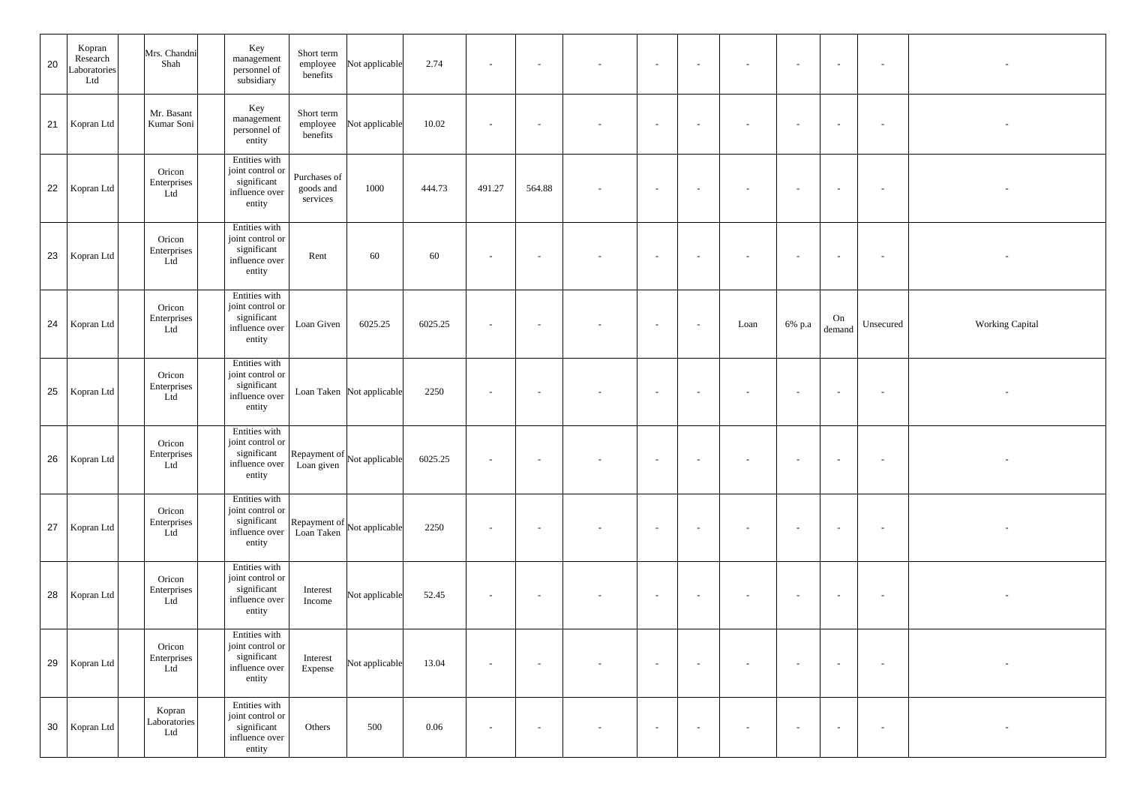| 20 | Kopran<br>Research<br>aboratories<br>Ltd | Mrs. Chandni<br>Shah          | Key<br>Short term<br>management<br>Not applicable<br>employee<br>personnel of<br>benefits<br>subsidiary                       | 2.74    | $\sim$                   | $\sim$ |                          | $\sim$                   | $\sim$                   | $\overline{\phantom{a}}$ | $\sim$              | $\sim$       | $\sim$    |                        |
|----|------------------------------------------|-------------------------------|-------------------------------------------------------------------------------------------------------------------------------|---------|--------------------------|--------|--------------------------|--------------------------|--------------------------|--------------------------|---------------------|--------------|-----------|------------------------|
|    | 21 Kopran Ltd                            | Mr. Basant<br>Kumar Soni      | Key<br>Short term<br>management<br>employee<br>Not applicable<br>personnel of<br>benefits<br>entity                           | 10.02   | $\sim$                   |        |                          | $\sim$                   | $\sim$                   | $\sim$                   | $\sim$              | $\sim$       | $\sim$    |                        |
|    | 22 Kopran Ltd                            | Oricon<br>Enterprises<br>Ltd  | Entities with<br>joint control or<br>Purchases of<br>significant<br>1000<br>goods and<br>influence over<br>services<br>entity | 444.73  | 491.27                   | 564.88 |                          | $\sim$                   | $\sim$                   |                          | $\sim$              | $\sim$       |           |                        |
|    | 23 Kopran Ltd                            | Oricon<br>Enterprises<br>Ltd  | Entities with<br>joint control or<br>significant<br>60<br>Rent<br>influence over<br>entity                                    | 60      | $\overline{\phantom{0}}$ |        |                          | $\overline{\phantom{0}}$ | $\sim$                   |                          | $\sim$              | $\sim$       |           |                        |
|    | 24   Kopran Ltd                          | Oricon<br>Enterprises<br>Ltd  | Entities with<br>joint control or<br>significant<br>Loan Given<br>6025.25<br>influence over<br>entity                         | 6025.25 | $\sim$                   |        |                          | $\sim$                   | $\sim$                   | Loan                     | 6% p.a              | On<br>demand | Unsecured | <b>Working Capital</b> |
|    | 25   Kopran Ltd                          | Oricon<br>Enterprises<br>Ltd  | Entities with<br>joint control or<br>significant<br>Loan Taken Not applicable<br>influence over<br>entity                     | 2250    | $\sim$                   | $\sim$ | $\overline{\phantom{0}}$ | $\sim$                   | $\sim$                   | $\sim$                   | $\sim$              | $\sim$       | $\sim$    |                        |
| 26 | Kopran Ltd                               | Oricon<br>Enterprises<br>Ltd  | Entities with<br>joint control or<br>significant Repayment of Not applicable<br>influence over Loan given<br>entity           | 6025.25 |                          |        |                          |                          |                          |                          |                     |              |           |                        |
|    | 27   Kopran Ltd                          | Oricon<br>Enterprises<br>Ltd  | Entities with<br>joint control or<br>significant<br>Repayment of<br>Loan Taken<br>Not applicable<br>influence over<br>entity  | 2250    | $\sim$                   | $\sim$ | $\overline{\phantom{a}}$ | $\sim$                   | $\sim$                   | $\sim$                   | $\alpha$ = $\alpha$ | $\sim$       | $\sim$    |                        |
|    | 28   Kopran Ltd                          | Oricon<br>Enterprises<br>Ltd  | Entities with<br>joint control or<br>significant<br>Interest<br>Not applicable<br>influence over<br>Income<br>entity          | 52.45   | $\sim$                   | $\sim$ |                          | $\sim$                   | $\overline{\phantom{a}}$ | $\sim$                   | $\sim$              | $\sim$       | $\sim$    |                        |
|    | 29   Kopran Ltd                          | Oricon<br>Enterprises<br>Ltd  | Entities with<br>joint control or<br>significant<br>Interest<br>Not applicable<br>influence over<br>Expense<br>entity         | 13.04   | $\sim$                   |        |                          | $\sim$                   | $\sim$                   | $\overline{\phantom{a}}$ | $\sim$              | $\sim$       | $\sim$    |                        |
|    | 30   Kopran Ltd                          | Kopran<br>Laboratories<br>Ltd | Entities with<br>joint control or<br>significant<br>500<br>Others<br>influence over<br>entity                                 | 0.06    | $\overline{\phantom{a}}$ |        |                          | $\sim$                   | $\sim$ $-$               | $\sim$                   | $\sim$              | $\sim$       |           |                        |